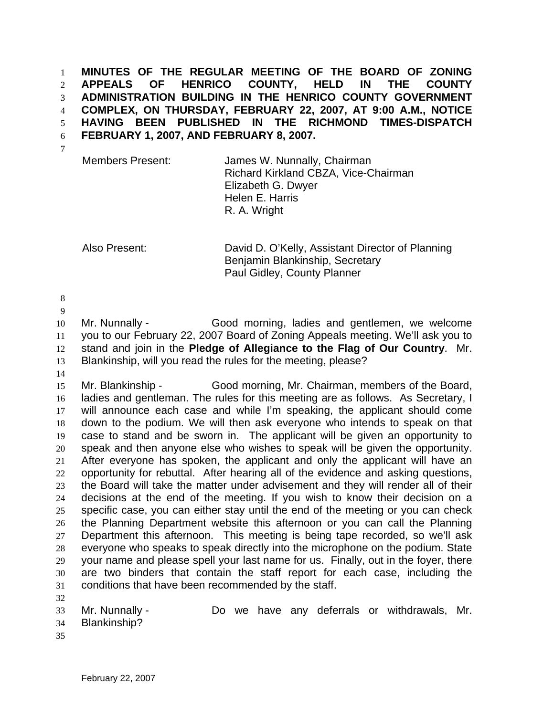**MINUTES OF THE REGULAR MEETING OF THE BOARD OF ZONING APPEALS OF HENRICO COUNTY, HELD IN THE COUNTY ADMINISTRATION BUILDING IN THE HENRICO COUNTY GOVERNMENT COMPLEX, ON THURSDAY, FEBRUARY 22, 2007, AT 9:00 A.M., NOTICE HAVING BEEN PUBLISHED IN THE RICHMOND TIMES-DISPATCH FEBRUARY 1, 2007, AND FEBRUARY 8, 2007.**  1 2 3 4 5 6

7

Members Present: James W. Nunnally, Chairman Richard Kirkland CBZA, Vice-Chairman Elizabeth G. Dwyer Helen E. Harris R. A. Wright

Also Present: David D. O'Kelly, Assistant Director of Planning Benjamin Blankinship, Secretary Paul Gidley, County Planner

8

9 10 11 12 13 Mr. Nunnally - Good morning, ladies and gentlemen, we welcome you to our February 22, 2007 Board of Zoning Appeals meeting. We'll ask you to stand and join in the **Pledge of Allegiance to the Flag of Our Country**. Mr. Blankinship, will you read the rules for the meeting, please?

14

15 16 17 18 19 20 21 22 23 24 25 26 27 28 29 30 31 32 Mr. Blankinship - Good morning, Mr. Chairman, members of the Board, ladies and gentleman. The rules for this meeting are as follows. As Secretary, I will announce each case and while I'm speaking, the applicant should come down to the podium. We will then ask everyone who intends to speak on that case to stand and be sworn in. The applicant will be given an opportunity to speak and then anyone else who wishes to speak will be given the opportunity. After everyone has spoken, the applicant and only the applicant will have an opportunity for rebuttal. After hearing all of the evidence and asking questions, the Board will take the matter under advisement and they will render all of their decisions at the end of the meeting. If you wish to know their decision on a specific case, you can either stay until the end of the meeting or you can check the Planning Department website this afternoon or you can call the Planning Department this afternoon. This meeting is being tape recorded, so we'll ask everyone who speaks to speak directly into the microphone on the podium. State your name and please spell your last name for us. Finally, out in the foyer, there are two binders that contain the staff report for each case, including the conditions that have been recommended by the staff.

33 34 Mr. Nunnally - Do we have any deferrals or withdrawals, Mr. Blankinship?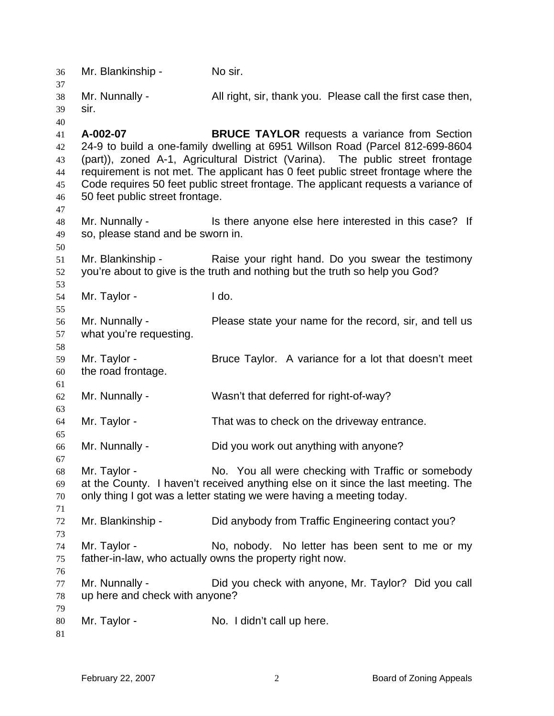| 36                                           | Mr. Blankinship -                                                                                                                                                                                                                | No sir.                                                                                                                                                                                                                                                                                                                                                                                            |
|----------------------------------------------|----------------------------------------------------------------------------------------------------------------------------------------------------------------------------------------------------------------------------------|----------------------------------------------------------------------------------------------------------------------------------------------------------------------------------------------------------------------------------------------------------------------------------------------------------------------------------------------------------------------------------------------------|
| 37<br>38<br>39                               | Mr. Nunnally -<br>sir.                                                                                                                                                                                                           | All right, sir, thank you. Please call the first case then,                                                                                                                                                                                                                                                                                                                                        |
| 40<br>41<br>42<br>43<br>44<br>45<br>46<br>47 | A-002-07<br>50 feet public street frontage.                                                                                                                                                                                      | <b>BRUCE TAYLOR</b> requests a variance from Section<br>24-9 to build a one-family dwelling at 6951 Willson Road (Parcel 812-699-8604<br>(part)), zoned A-1, Agricultural District (Varina). The public street frontage<br>requirement is not met. The applicant has 0 feet public street frontage where the<br>Code requires 50 feet public street frontage. The applicant requests a variance of |
| 48<br>49<br>50                               | Mr. Nunnally -<br>so, please stand and be sworn in.                                                                                                                                                                              | Is there anyone else here interested in this case? If                                                                                                                                                                                                                                                                                                                                              |
| 51<br>52<br>53                               | Mr. Blankinship -                                                                                                                                                                                                                | Raise your right hand. Do you swear the testimony<br>you're about to give is the truth and nothing but the truth so help you God?                                                                                                                                                                                                                                                                  |
| 54<br>55                                     | Mr. Taylor -                                                                                                                                                                                                                     | I do.                                                                                                                                                                                                                                                                                                                                                                                              |
| 56<br>57<br>58                               | Mr. Nunnally -<br>what you're requesting.                                                                                                                                                                                        | Please state your name for the record, sir, and tell us                                                                                                                                                                                                                                                                                                                                            |
| 59<br>60<br>61                               | Mr. Taylor -<br>the road frontage.                                                                                                                                                                                               | Bruce Taylor. A variance for a lot that doesn't meet                                                                                                                                                                                                                                                                                                                                               |
| 62<br>63                                     | Mr. Nunnally -                                                                                                                                                                                                                   | Wasn't that deferred for right-of-way?                                                                                                                                                                                                                                                                                                                                                             |
| 64<br>65                                     | Mr. Taylor -                                                                                                                                                                                                                     | That was to check on the driveway entrance.                                                                                                                                                                                                                                                                                                                                                        |
| 66<br>67                                     | Mr. Nunnally -                                                                                                                                                                                                                   | Did you work out anything with anyone?                                                                                                                                                                                                                                                                                                                                                             |
| 68<br>69<br>70<br>71                         | No. You all were checking with Traffic or somebody<br>Mr. Taylor -<br>at the County. I haven't received anything else on it since the last meeting. The<br>only thing I got was a letter stating we were having a meeting today. |                                                                                                                                                                                                                                                                                                                                                                                                    |
| 72<br>73                                     | Mr. Blankinship -                                                                                                                                                                                                                | Did anybody from Traffic Engineering contact you?                                                                                                                                                                                                                                                                                                                                                  |
| 74<br>75<br>76                               | Mr. Taylor -                                                                                                                                                                                                                     | No, nobody. No letter has been sent to me or my<br>father-in-law, who actually owns the property right now.                                                                                                                                                                                                                                                                                        |
| 77<br>78                                     | Mr. Nunnally -<br>up here and check with anyone?                                                                                                                                                                                 | Did you check with anyone, Mr. Taylor? Did you call                                                                                                                                                                                                                                                                                                                                                |
| 79<br>80<br>81                               | Mr. Taylor -                                                                                                                                                                                                                     | No. I didn't call up here.                                                                                                                                                                                                                                                                                                                                                                         |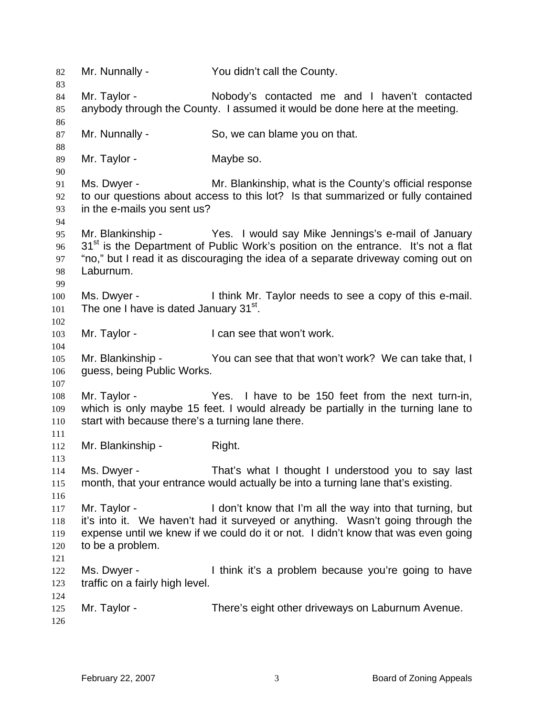82 Mr. Nunnally - You didn't call the County. 83 84 85 86 87 88 89 90 91 92 93 94 95 96 97 98 99 100 101 102 103 104 105 106 107 108 109 110 111 112 113 114 115 116 117 118 119 120 121 122 123 124 125 126 Mr. Taylor - Nobody's contacted me and I haven't contacted anybody through the County. I assumed it would be done here at the meeting. Mr. Nunnally - So, we can blame you on that. Mr. Taylor - Maybe so. Ms. Dwyer - Mr. Blankinship, what is the County's official response to our questions about access to this lot? Is that summarized or fully contained in the e-mails you sent us? Mr. Blankinship - Yes. I would say Mike Jennings's e-mail of January  $31<sup>st</sup>$  is the Department of Public Work's position on the entrance. It's not a flat "no," but I read it as discouraging the idea of a separate driveway coming out on Laburnum. Ms. Dwyer - I think Mr. Taylor needs to see a copy of this e-mail. The one I have is dated January 31<sup>st</sup>. Mr. Taylor - **I can see that won't work.** Mr. Blankinship - You can see that that won't work? We can take that, I guess, being Public Works. Mr. Taylor - Yes. I have to be 150 feet from the next turn-in, which is only maybe 15 feet. I would already be partially in the turning lane to start with because there's a turning lane there. Mr. Blankinship - Right. Ms. Dwyer - That's what I thought I understood you to say last month, that your entrance would actually be into a turning lane that's existing. Mr. Taylor - I don't know that I'm all the way into that turning, but it's into it. We haven't had it surveyed or anything. Wasn't going through the expense until we knew if we could do it or not. I didn't know that was even going to be a problem. Ms. Dwyer - I think it's a problem because you're going to have traffic on a fairly high level. Mr. Taylor - There's eight other driveways on Laburnum Avenue.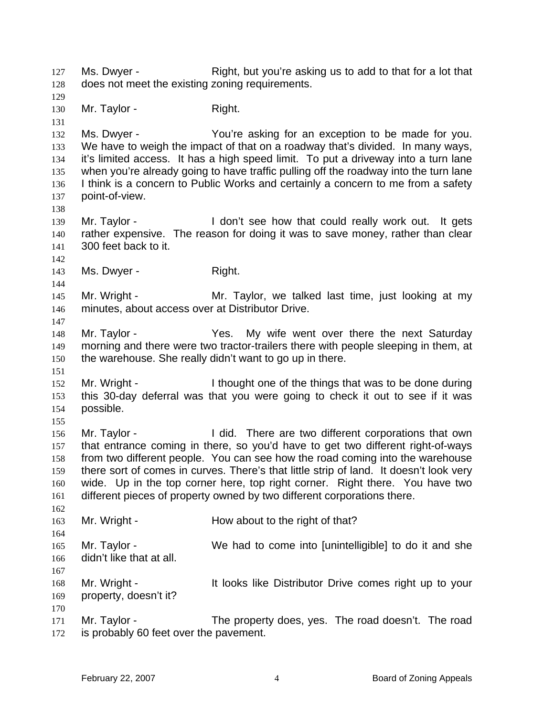Ms. Dwyer - Right, but you're asking us to add to that for a lot that does not meet the existing zoning requirements. 127 128 129 130 131 132 133 134 135 136 137 138 139 140 141 142 143 144 145 146 147 148 149 150 151 152 153 154 155 156 157 158 159 160 161 162 163 164 165 166 167 168 169 170 171 172 Mr. Taylor - Right. Ms. Dwyer - The You're asking for an exception to be made for you. We have to weigh the impact of that on a roadway that's divided. In many ways, it's limited access. It has a high speed limit. To put a driveway into a turn lane when you're already going to have traffic pulling off the roadway into the turn lane I think is a concern to Public Works and certainly a concern to me from a safety point-of-view. Mr. Taylor - The Muslim Could really work out. It gets rather expensive. The reason for doing it was to save money, rather than clear 300 feet back to it. Ms. Dwyer - Right. Mr. Wright - Taylor, we talked last time, just looking at my minutes, about access over at Distributor Drive. Mr. Taylor - The Yes. My wife went over there the next Saturday morning and there were two tractor-trailers there with people sleeping in them, at the warehouse. She really didn't want to go up in there. Mr. Wright - I thought one of the things that was to be done during this 30-day deferral was that you were going to check it out to see if it was possible. Mr. Taylor - I did. There are two different corporations that own that entrance coming in there, so you'd have to get two different right-of-ways from two different people. You can see how the road coming into the warehouse there sort of comes in curves. There's that little strip of land. It doesn't look very wide. Up in the top corner here, top right corner. Right there. You have two different pieces of property owned by two different corporations there. Mr. Wright - How about to the right of that? Mr. Taylor - We had to come into [unintelligible] to do it and she didn't like that at all. Mr. Wright - The It looks like Distributor Drive comes right up to your property, doesn't it? Mr. Taylor - The property does, yes. The road doesn't. The road is probably 60 feet over the pavement.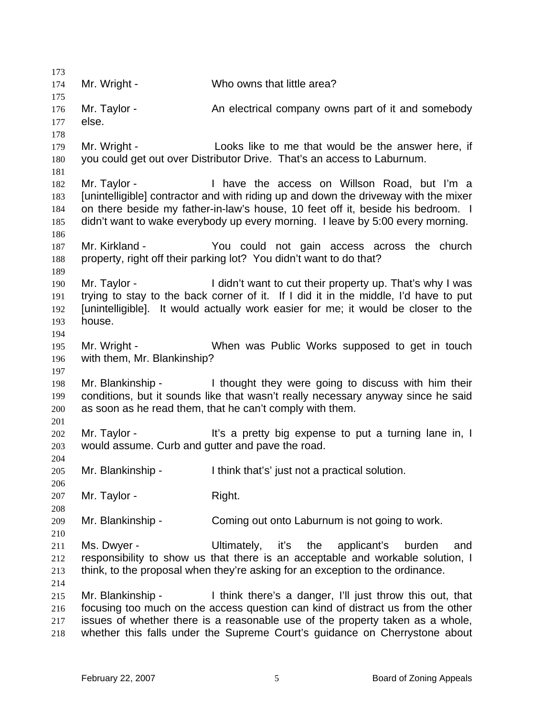| 173                             |                                                                  |                                                                                                                                                                                                                                                                                                            |
|---------------------------------|------------------------------------------------------------------|------------------------------------------------------------------------------------------------------------------------------------------------------------------------------------------------------------------------------------------------------------------------------------------------------------|
| 174                             | Mr. Wright -                                                     | Who owns that little area?                                                                                                                                                                                                                                                                                 |
| 175<br>176<br>177               | Mr. Taylor -<br>else.                                            | An electrical company owns part of it and somebody                                                                                                                                                                                                                                                         |
| 178<br>179<br>180<br>181        | Mr. Wright -                                                     | Looks like to me that would be the answer here, if<br>you could get out over Distributor Drive. That's an access to Laburnum.                                                                                                                                                                              |
| 182<br>183<br>184<br>185        | Mr. Taylor -                                                     | I have the access on Willson Road, but I'm a<br>[unintelligible] contractor and with riding up and down the driveway with the mixer<br>on there beside my father-in-law's house, 10 feet off it, beside his bedroom. I<br>didn't want to wake everybody up every morning. I leave by 5:00 every morning.   |
| 186<br>187<br>188<br>189        | Mr. Kirkland -                                                   | You could not gain access across the church<br>property, right off their parking lot? You didn't want to do that?                                                                                                                                                                                          |
| 190<br>191<br>192<br>193<br>194 | Mr. Taylor -<br>house.                                           | I didn't want to cut their property up. That's why I was<br>trying to stay to the back corner of it. If I did it in the middle, I'd have to put<br>[unintelligible]. It would actually work easier for me; it would be closer to the                                                                       |
| 195<br>196                      | Mr. Wright -<br>with them, Mr. Blankinship?                      | When was Public Works supposed to get in touch                                                                                                                                                                                                                                                             |
| 197<br>198<br>199<br>200        |                                                                  | Mr. Blankinship - I thought they were going to discuss with him their<br>conditions, but it sounds like that wasn't really necessary anyway since he said<br>as soon as he read them, that he can't comply with them.                                                                                      |
| 201<br>202<br>203               | Mr. Taylor -<br>would assume. Curb and gutter and pave the road. | It's a pretty big expense to put a turning lane in, I                                                                                                                                                                                                                                                      |
| 204<br>205<br>206               | Mr. Blankinship -                                                | I think that's' just not a practical solution.                                                                                                                                                                                                                                                             |
| 207<br>208                      | Mr. Taylor -                                                     | Right.                                                                                                                                                                                                                                                                                                     |
| 209<br>210                      | Mr. Blankinship -                                                | Coming out onto Laburnum is not going to work.                                                                                                                                                                                                                                                             |
| 211<br>212<br>213<br>214        | Ms. Dwyer -                                                      | Ultimately, it's the applicant's<br>burden<br>and<br>responsibility to show us that there is an acceptable and workable solution, I<br>think, to the proposal when they're asking for an exception to the ordinance.                                                                                       |
| 215<br>216<br>217<br>218        | Mr. Blankinship -                                                | I think there's a danger, I'll just throw this out, that<br>focusing too much on the access question can kind of distract us from the other<br>issues of whether there is a reasonable use of the property taken as a whole,<br>whether this falls under the Supreme Court's guidance on Cherrystone about |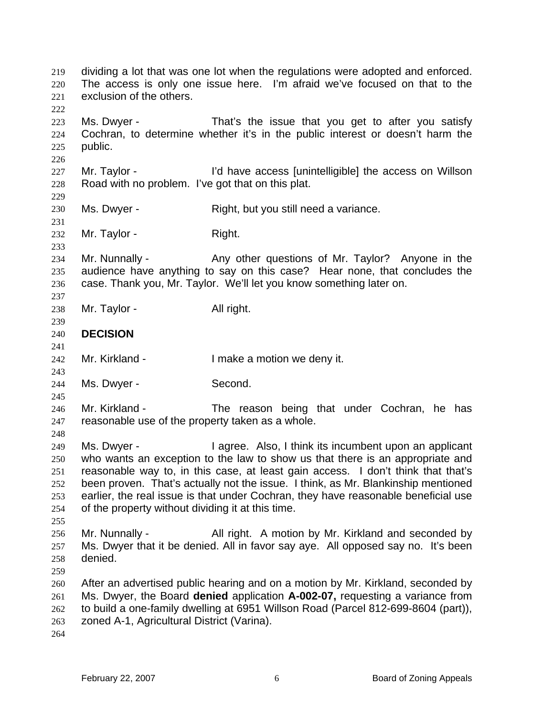dividing a lot that was one lot when the regulations were adopted and enforced. The access is only one issue here. I'm afraid we've focused on that to the exclusion of the others. 219 220 221 222 223 224 225 226 227 228 229 230 231 232 233 234 235 236 237 238 239 240 241 242 243 244 245 246 247 248 249 250 251 252 253 254 255 256 257 258 259 260 261 262 263 264 Ms. Dwyer - That's the issue that you get to after you satisfy Cochran, to determine whether it's in the public interest or doesn't harm the public. Mr. Taylor - I'd have access [unintelligible] the access on Willson Road with no problem. I've got that on this plat. Ms. Dwyer - Right, but you still need a variance. Mr. Taylor - Right. Mr. Nunnally - Any other questions of Mr. Taylor? Anyone in the audience have anything to say on this case? Hear none, that concludes the case. Thank you, Mr. Taylor. We'll let you know something later on. Mr. Taylor - All right. **DECISION**  Mr. Kirkland - The Music Compared in the Music Comparent Mr. Kirkland - The Music Comparent Internal Internal I Ms. Dwyer - Second. Mr. Kirkland - The reason being that under Cochran, he has reasonable use of the property taken as a whole. Ms. Dwyer - I agree. Also, I think its incumbent upon an applicant who wants an exception to the law to show us that there is an appropriate and reasonable way to, in this case, at least gain access. I don't think that that's been proven. That's actually not the issue. I think, as Mr. Blankinship mentioned earlier, the real issue is that under Cochran, they have reasonable beneficial use of the property without dividing it at this time. Mr. Nunnally - All right. A motion by Mr. Kirkland and seconded by Ms. Dwyer that it be denied. All in favor say aye. All opposed say no. It's been denied. After an advertised public hearing and on a motion by Mr. Kirkland, seconded by Ms. Dwyer, the Board **denied** application **A-002-07,** requesting a variance from to build a one-family dwelling at 6951 Willson Road (Parcel 812-699-8604 (part)), zoned A-1, Agricultural District (Varina).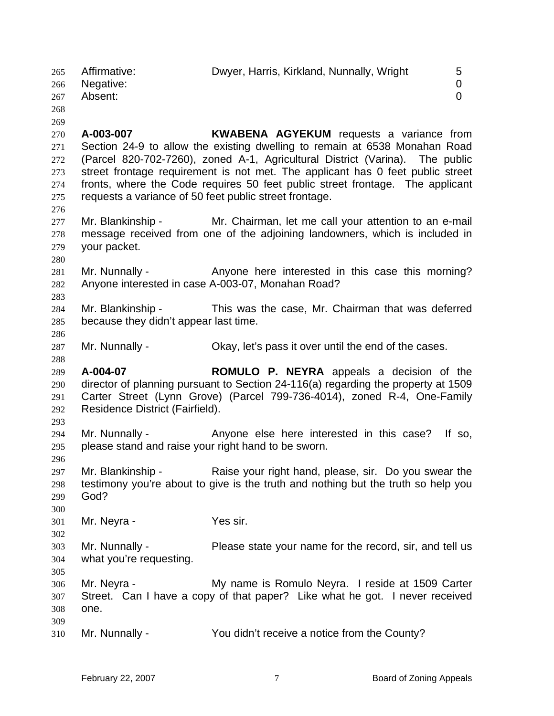265 Affirmative: Dwyer, Harris, Kirkland, Nunnally, Wright 5 266 267 268 269 270 271 272 273 274 275 276 277 278 279 280 281 282 283 284 285 286 287 288 289 290 291 292 293 294 295 296 297 298 299 300 301 302 303 304 305 306 307 308 309 310 Negative: 0 Absent: 0 **A-003-007 KWABENA AGYEKUM** requests a variance from Section 24-9 to allow the existing dwelling to remain at 6538 Monahan Road (Parcel 820-702-7260), zoned A-1, Agricultural District (Varina). The public street frontage requirement is not met. The applicant has 0 feet public street fronts, where the Code requires 50 feet public street frontage. The applicant requests a variance of 50 feet public street frontage. Mr. Blankinship - Mr. Chairman, let me call your attention to an e-mail message received from one of the adjoining landowners, which is included in your packet. Mr. Nunnally - Anyone here interested in this case this morning? Anyone interested in case A-003-07, Monahan Road? Mr. Blankinship - This was the case, Mr. Chairman that was deferred because they didn't appear last time. Mr. Nunnally - Okay, let's pass it over until the end of the cases. **A-004-07 ROMULO P. NEYRA** appeals a decision of the director of planning pursuant to Section 24-116(a) regarding the property at 1509 Carter Street (Lynn Grove) (Parcel 799-736-4014), zoned R-4, One-Family Residence District (Fairfield). Mr. Nunnally - Anyone else here interested in this case? If so, please stand and raise your right hand to be sworn. Mr. Blankinship - Raise your right hand, please, sir. Do you swear the testimony you're about to give is the truth and nothing but the truth so help you God? Mr. Neyra - Yes sir. Mr. Nunnally - Please state your name for the record, sir, and tell us what you're requesting. Mr. Neyra - **My name is Romulo Neyra.** I reside at 1509 Carter Street. Can I have a copy of that paper? Like what he got. I never received one. Mr. Nunnally - You didn't receive a notice from the County?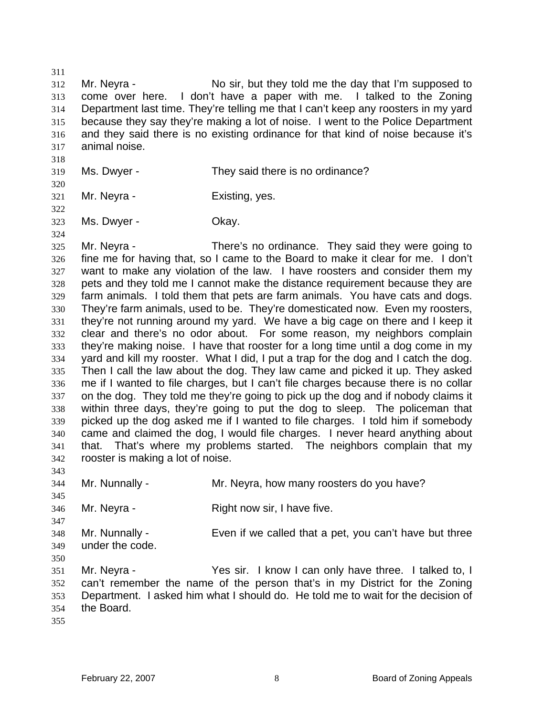311 312 313 314 315 316 317 Mr. Neyra - No sir, but they told me the day that I'm supposed to come over here. I don't have a paper with me. I talked to the Zoning Department last time. They're telling me that I can't keep any roosters in my yard because they say they're making a lot of noise. I went to the Police Department and they said there is no existing ordinance for that kind of noise because it's animal noise.

- 318 319 Ms. Dwyer - They said there is no ordinance?
- 321 Mr. Neyra - Existing, yes.
- 323 Ms. Dwyer - Chay.

325 326 327 328 329 330 331 332 333 334 335 336 337 338 339 340 341 342 Mr. Neyra - There's no ordinance. They said they were going to fine me for having that, so I came to the Board to make it clear for me. I don't want to make any violation of the law. I have roosters and consider them my pets and they told me I cannot make the distance requirement because they are farm animals. I told them that pets are farm animals. You have cats and dogs. They're farm animals, used to be. They're domesticated now. Even my roosters, they're not running around my yard. We have a big cage on there and I keep it clear and there's no odor about. For some reason, my neighbors complain they're making noise. I have that rooster for a long time until a dog come in my yard and kill my rooster. What I did, I put a trap for the dog and I catch the dog. Then I call the law about the dog. They law came and picked it up. They asked me if I wanted to file charges, but I can't file charges because there is no collar on the dog. They told me they're going to pick up the dog and if nobody claims it within three days, they're going to put the dog to sleep. The policeman that picked up the dog asked me if I wanted to file charges. I told him if somebody came and claimed the dog, I would file charges. I never heard anything about that. That's where my problems started. The neighbors complain that my rooster is making a lot of noise.

343 344 345 346 347 348 349 350 351 352 353 354 Mr. Nunnally - Mr. Neyra, how many roosters do you have? Mr. Neyra - Right now sir, I have five. Mr. Nunnally - Even if we called that a pet, you can't have but three under the code. Mr. Neyra - Yes sir. I know I can only have three. I talked to, I can't remember the name of the person that's in my District for the Zoning Department. I asked him what I should do. He told me to wait for the decision of the Board.

320

322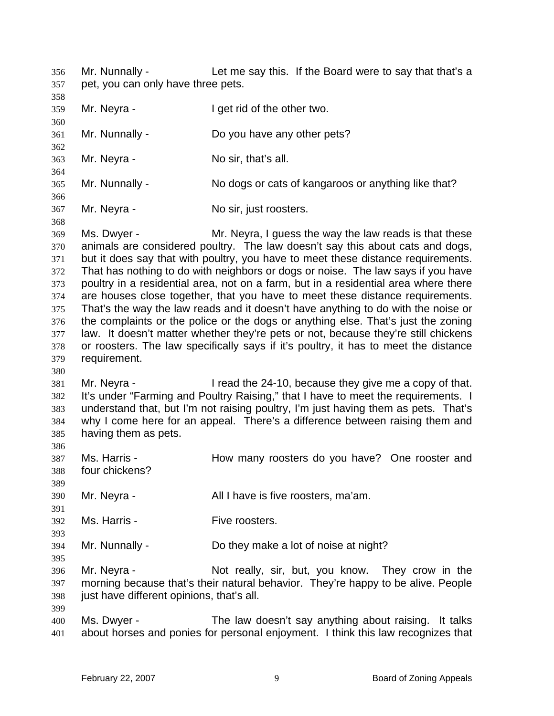Mr. Nunnally - Let me say this. If the Board were to say that that's a pet, you can only have three pets. 356 357

358 359 360 361 362 363 364 365 366 367 Mr. Neyra - I get rid of the other two. Mr. Nunnally - Do you have any other pets? Mr. Neyra - No sir, that's all. Mr. Nunnally - No dogs or cats of kangaroos or anything like that? Mr. Neyra - No sir, just roosters.

368 369 370 371 372 373 374 375 376 377 378 379 Ms. Dwyer - The Mr. Neyra, I guess the way the law reads is that these animals are considered poultry. The law doesn't say this about cats and dogs, but it does say that with poultry, you have to meet these distance requirements. That has nothing to do with neighbors or dogs or noise. The law says if you have poultry in a residential area, not on a farm, but in a residential area where there are houses close together, that you have to meet these distance requirements. That's the way the law reads and it doesn't have anything to do with the noise or the complaints or the police or the dogs or anything else. That's just the zoning law. It doesn't matter whether they're pets or not, because they're still chickens or roosters. The law specifically says if it's poultry, it has to meet the distance requirement.

381 382 383 384 385 Mr. Neyra - I read the 24-10, because they give me a copy of that. It's under "Farming and Poultry Raising," that I have to meet the requirements. I understand that, but I'm not raising poultry, I'm just having them as pets. That's why I come here for an appeal. There's a difference between raising them and having them as pets.

- 387 388 Ms. Harris - The How many roosters do you have? One rooster and four chickens?
- 390 Mr. Neyra - The Mull I have is five roosters, ma'am.
- 392 Ms. Harris - Five roosters.
- 394 Mr. Nunnally - Do they make a lot of noise at night?
- 396 397 398 Mr. Neyra - Not really, sir, but, you know. They crow in the morning because that's their natural behavior. They're happy to be alive. People just have different opinions, that's all.
- 400 401 Ms. Dwyer - The law doesn't say anything about raising. It talks about horses and ponies for personal enjoyment. I think this law recognizes that

380

386

389

391

393

395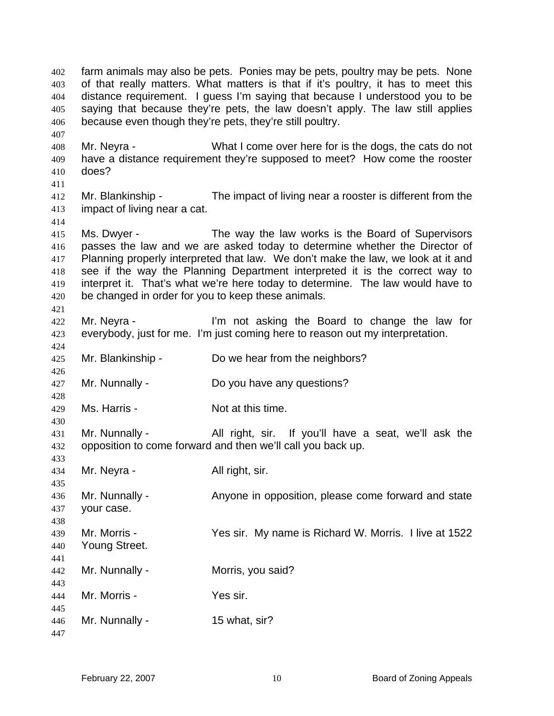farm animals may also be pets. Ponies may be pets, poultry may be pets. None of that really matters. What matters is that if it's poultry, it has to meet this distance requirement. I guess I'm saying that because I understood you to be saying that because they're pets, the law doesn't apply. The law still applies because even though they're pets, they're still poultry. 402 403 404 405 406

408 409 410 Mr. Neyra - What I come over here for is the dogs, the cats do not have a distance requirement they're supposed to meet? How come the rooster does?

411

414

421

424

426

428

430

407

412 413 Mr. Blankinship - The impact of living near a rooster is different from the impact of living near a cat.

415 416 417 418 419 420 Ms. Dwyer - The way the law works is the Board of Supervisors passes the law and we are asked today to determine whether the Director of Planning properly interpreted that law. We don't make the law, we look at it and see if the way the Planning Department interpreted it is the correct way to interpret it. That's what we're here today to determine. The law would have to be changed in order for you to keep these animals.

422 423 Mr. Neyra - I'm not asking the Board to change the law for everybody, just for me. I'm just coming here to reason out my interpretation.

- 425 Mr. Blankinship - Do we hear from the neighbors?
- 427 Mr. Nunnally - Do you have any questions?
- 429 Ms. Harris - Not at this time.

431 432 Mr. Nunnally - All right, sir. If you'll have a seat, we'll ask the opposition to come forward and then we'll call you back up.

433 434 435 436 437 438 439 440 441 442 443 444 445 Mr. Neyra - All right, sir. Mr. Nunnally - Anyone in opposition, please come forward and state your case. Mr. Morris - Yes sir. My name is Richard W. Morris. I live at 1522 Young Street. Mr. Nunnally - **Morris**, you said? Mr. Morris - Yes sir.

446 447 Mr. Nunnally - 15 what, sir?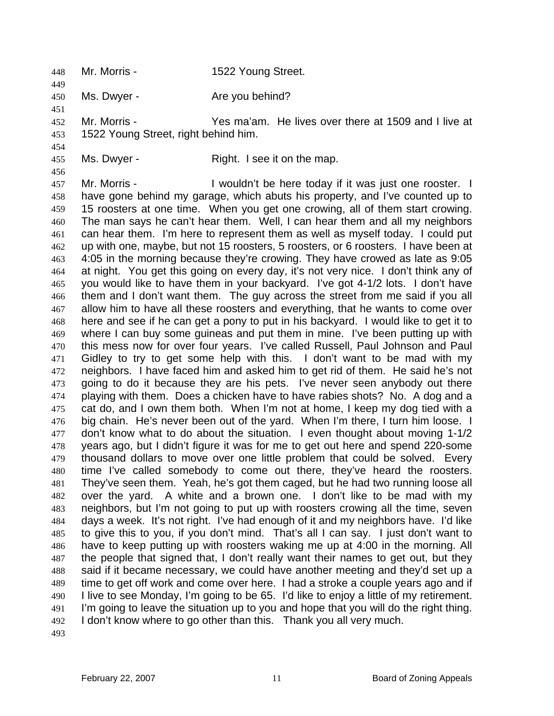448 Mr. Morris - 1522 Young Street. 449

450 Ms. Dwyer - The Mare you behind?

451 452 453 Mr. Morris - Yes ma'am. He lives over there at 1509 and I live at 1522 Young Street, right behind him.

455

454

456

Ms. Dwyer - Right. I see it on the map.

457 458 459 460 461 462 463 464 465 466 467 468 469 470 471 472 473 474 475 476 477 478 479 480 481 482 483 484 485 486 487 488 489 490 491 492 Mr. Morris - The Unit of the here today if it was just one rooster. I have gone behind my garage, which abuts his property, and I've counted up to 15 roosters at one time. When you get one crowing, all of them start crowing. The man says he can't hear them. Well, I can hear them and all my neighbors can hear them. I'm here to represent them as well as myself today. I could put up with one, maybe, but not 15 roosters, 5 roosters, or 6 roosters. I have been at 4:05 in the morning because they're crowing. They have crowed as late as 9:05 at night. You get this going on every day, it's not very nice. I don't think any of you would like to have them in your backyard. I've got 4-1/2 lots. I don't have them and I don't want them. The guy across the street from me said if you all allow him to have all these roosters and everything, that he wants to come over here and see if he can get a pony to put in his backyard. I would like to get it to where I can buy some guineas and put them in mine. I've been putting up with this mess now for over four years. I've called Russell, Paul Johnson and Paul Gidley to try to get some help with this. I don't want to be mad with my neighbors. I have faced him and asked him to get rid of them. He said he's not going to do it because they are his pets. I've never seen anybody out there playing with them. Does a chicken have to have rabies shots? No. A dog and a cat do, and I own them both. When I'm not at home, I keep my dog tied with a big chain. He's never been out of the yard. When I'm there, I turn him loose. I don't know what to do about the situation. I even thought about moving 1-1/2 years ago, but I didn't figure it was for me to get out here and spend 220-some thousand dollars to move over one little problem that could be solved. Every time I've called somebody to come out there, they've heard the roosters. They've seen them. Yeah, he's got them caged, but he had two running loose all over the yard. A white and a brown one. I don't like to be mad with my neighbors, but I'm not going to put up with roosters crowing all the time, seven days a week. It's not right. I've had enough of it and my neighbors have. I'd like to give this to you, if you don't mind. That's all I can say. I just don't want to have to keep putting up with roosters waking me up at 4:00 in the morning. All the people that signed that, I don't really want their names to get out, but they said if it became necessary, we could have another meeting and they'd set up a time to get off work and come over here. I had a stroke a couple years ago and if I live to see Monday, I'm going to be 65. I'd like to enjoy a little of my retirement. I'm going to leave the situation up to you and hope that you will do the right thing. I don't know where to go other than this. Thank you all very much.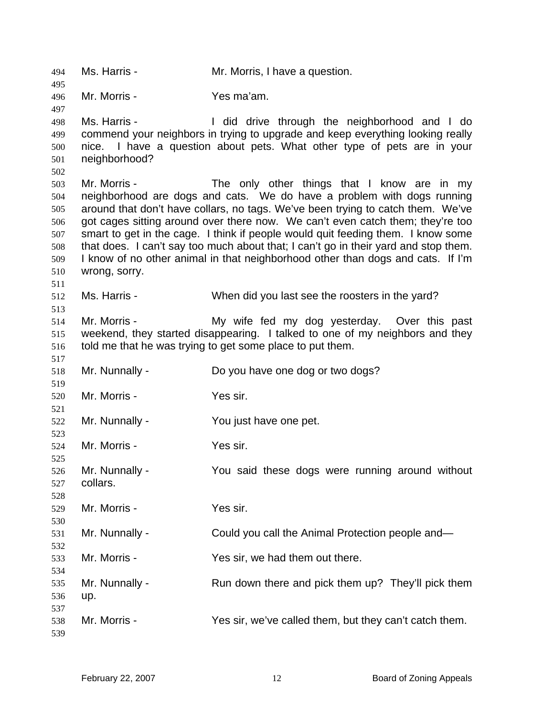Ms. Harris - Mr. Morris, I have a question. Mr. Morris - Yes ma'am. Ms. Harris - I did drive through the neighborhood and I do commend your neighbors in trying to upgrade and keep everything looking really nice. I have a question about pets. What other type of pets are in your neighborhood? Mr. Morris - The only other things that I know are in my neighborhood are dogs and cats. We do have a problem with dogs running around that don't have collars, no tags. We've been trying to catch them. We've got cages sitting around over there now. We can't even catch them; they're too smart to get in the cage. I think if people would quit feeding them. I know some that does. I can't say too much about that; I can't go in their yard and stop them. I know of no other animal in that neighborhood other than dogs and cats. If I'm wrong, sorry. Ms. Harris - When did you last see the roosters in the yard? Mr. Morris - My wife fed my dog yesterday. Over this past weekend, they started disappearing. I talked to one of my neighbors and they told me that he was trying to get some place to put them. Mr. Nunnally - Do you have one dog or two dogs? Mr. Morris - Yes sir. Mr. Nunnally - You just have one pet. Mr. Morris - Yes sir. Mr. Nunnally - You said these dogs were running around without collars. Mr. Morris - Yes sir. Mr. Nunnally - Could you call the Animal Protection people and— Mr. Morris - Yes sir, we had them out there. Mr. Nunnally - Run down there and pick them up? They'll pick them up. Mr. Morris - Yes sir, we've called them, but they can't catch them.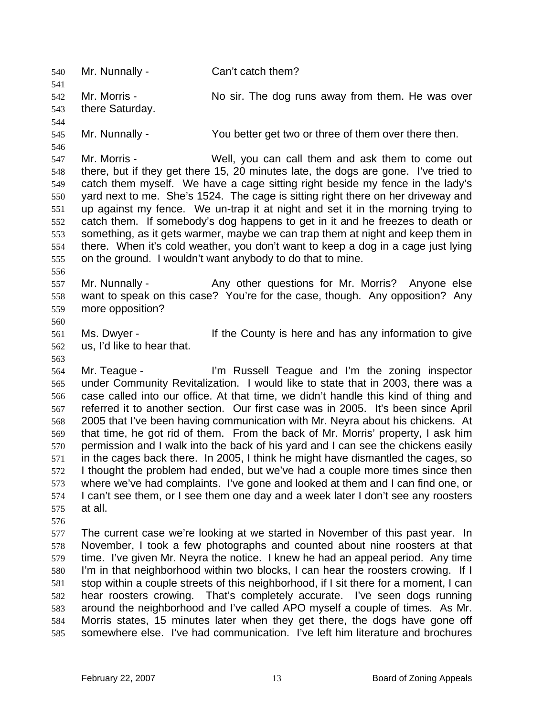540 Mr. Nunnally - Can't catch them? 541 542 543 544 545 546 547 548 549 550 551 552 Mr. Morris - No sir. The dog runs away from them. He was over there Saturday. Mr. Nunnally - You better get two or three of them over there then. Mr. Morris - Well, you can call them and ask them to come out there, but if they get there 15, 20 minutes late, the dogs are gone. I've tried to catch them myself. We have a cage sitting right beside my fence in the lady's yard next to me. She's 1524. The cage is sitting right there on her driveway and up against my fence. We un-trap it at night and set it in the morning trying to catch them. If somebody's dog happens to get in it and he freezes to death or

553 554 555 something, as it gets warmer, maybe we can trap them at night and keep them in there. When it's cold weather, you don't want to keep a dog in a cage just lying on the ground. I wouldn't want anybody to do that to mine.

556

557 558 559 Mr. Nunnally - Any other questions for Mr. Morris? Anyone else want to speak on this case? You're for the case, though. Any opposition? Any more opposition?

560

563

561 562 Ms. Dwyer - If the County is here and has any information to give us, I'd like to hear that.

564 565 566 567 568 569 570 571 572 573 574 575 Mr. Teague - I'm Russell Teague and I'm the zoning inspector under Community Revitalization. I would like to state that in 2003, there was a case called into our office. At that time, we didn't handle this kind of thing and referred it to another section. Our first case was in 2005. It's been since April 2005 that I've been having communication with Mr. Neyra about his chickens. At that time, he got rid of them. From the back of Mr. Morris' property, I ask him permission and I walk into the back of his yard and I can see the chickens easily in the cages back there. In 2005, I think he might have dismantled the cages, so I thought the problem had ended, but we've had a couple more times since then where we've had complaints. I've gone and looked at them and I can find one, or I can't see them, or I see them one day and a week later I don't see any roosters at all.

576

577 578 579 580 581 582 583 584 585 The current case we're looking at we started in November of this past year. In November, I took a few photographs and counted about nine roosters at that time. I've given Mr. Neyra the notice. I knew he had an appeal period. Any time I'm in that neighborhood within two blocks, I can hear the roosters crowing. If I stop within a couple streets of this neighborhood, if I sit there for a moment, I can hear roosters crowing. That's completely accurate. I've seen dogs running around the neighborhood and I've called APO myself a couple of times. As Mr. Morris states, 15 minutes later when they get there, the dogs have gone off somewhere else. I've had communication. I've left him literature and brochures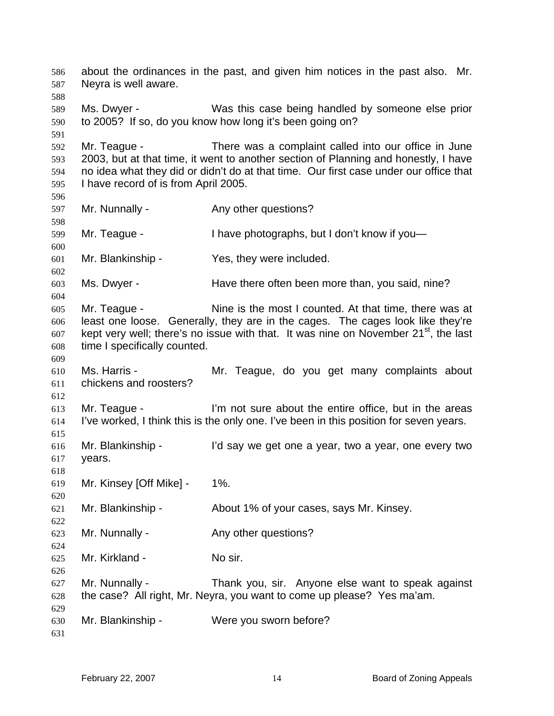about the ordinances in the past, and given him notices in the past also. Mr. Neyra is well aware. Ms. Dwyer - Was this case being handled by someone else prior to 2005? If so, do you know how long it's been going on? Mr. Teague - There was a complaint called into our office in June 2003, but at that time, it went to another section of Planning and honestly, I have no idea what they did or didn't do at that time. Our first case under our office that I have record of is from April 2005. Mr. Nunnally - Any other questions? Mr. Teague - I have photographs, but I don't know if you-Mr. Blankinship - Yes, they were included. Ms. Dwyer - Thave there often been more than, you said, nine? Mr. Teague - Nine is the most I counted. At that time, there was at least one loose. Generally, they are in the cages. The cages look like they're kept very well; there's no issue with that. It was nine on November  $21<sup>st</sup>$ , the last time I specifically counted. Ms. Harris - **Mr.** Teague, do you get many complaints about chickens and roosters? Mr. Teague - The same of the solut the entire office, but in the areas I've worked, I think this is the only one. I've been in this position for seven years. Mr. Blankinship - I'd say we get one a year, two a year, one every two years. Mr. Kinsey [Off Mike] - 1%. Mr. Blankinship - About 1% of your cases, says Mr. Kinsey. Mr. Nunnally - The Any other questions? Mr. Kirkland - No sir. Mr. Nunnally - Thank you, sir. Anyone else want to speak against the case? All right, Mr. Neyra, you want to come up please? Yes ma'am. Mr. Blankinship - Were you sworn before?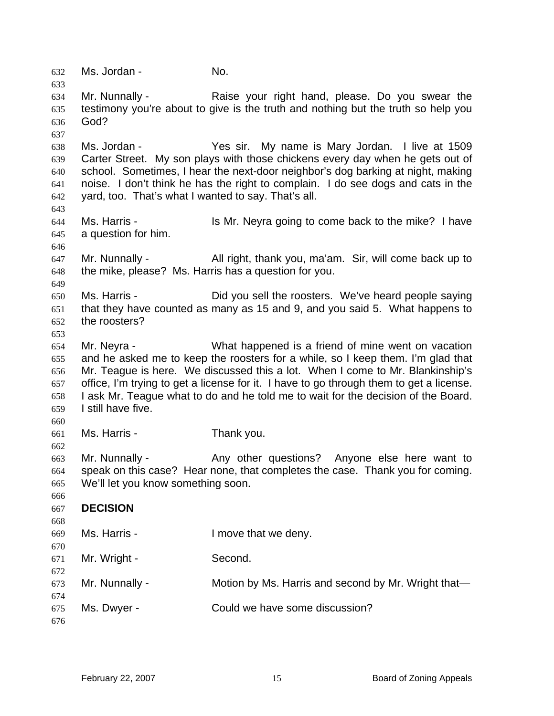632 Ms. Jordan - No. 633 634 635 636 637 638 639 640 641 642 643 644 645 646 647 648 649 650 651 652 653 654 655 656 657 658 659 660 661 662 663 664 665 666 667 668 669 670 671 672 673 674 675 676 Mr. Nunnally - Raise your right hand, please. Do you swear the testimony you're about to give is the truth and nothing but the truth so help you God? Ms. Jordan - The Yes sir. My name is Mary Jordan. I live at 1509 Carter Street. My son plays with those chickens every day when he gets out of school. Sometimes, I hear the next-door neighbor's dog barking at night, making noise. I don't think he has the right to complain. I do see dogs and cats in the yard, too. That's what I wanted to say. That's all. Ms. Harris - **IS Mr. Neyra going to come back to the mike?** I have a question for him. Mr. Nunnally - All right, thank you, ma'am. Sir, will come back up to the mike, please? Ms. Harris has a question for you. Ms. Harris - The Did you sell the roosters. We've heard people saying that they have counted as many as 15 and 9, and you said 5. What happens to the roosters? Mr. Neyra - What happened is a friend of mine went on vacation and he asked me to keep the roosters for a while, so I keep them. I'm glad that Mr. Teague is here. We discussed this a lot. When I come to Mr. Blankinship's office, I'm trying to get a license for it. I have to go through them to get a license. I ask Mr. Teague what to do and he told me to wait for the decision of the Board. I still have five. Ms. Harris - Thank you. Mr. Nunnally - Any other questions? Anyone else here want to speak on this case? Hear none, that completes the case. Thank you for coming. We'll let you know something soon. **DECISION**  Ms. Harris - The Music Henry. Mr. Wright - Second. Mr. Nunnally - **Motion by Ms. Harris and second by Mr. Wright that** Ms. Dwyer - Could we have some discussion?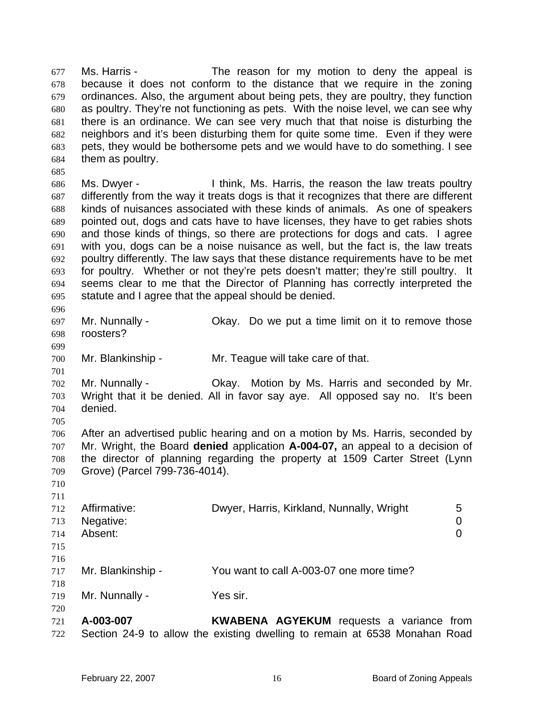Ms. Harris - The reason for my motion to deny the appeal is because it does not conform to the distance that we require in the zoning ordinances. Also, the argument about being pets, they are poultry, they function as poultry. They're not functioning as pets. With the noise level, we can see why there is an ordinance. We can see very much that that noise is disturbing the neighbors and it's been disturbing them for quite some time. Even if they were pets, they would be bothersome pets and we would have to do something. I see them as poultry. 677 678 679 680 681 682 683 684

686 687 688 689 690 691 692 693 694 695 Ms. Dwyer - Think, Ms. Harris, the reason the law treats poultry differently from the way it treats dogs is that it recognizes that there are different kinds of nuisances associated with these kinds of animals. As one of speakers pointed out, dogs and cats have to have licenses, they have to get rabies shots and those kinds of things, so there are protections for dogs and cats. I agree with you, dogs can be a noise nuisance as well, but the fact is, the law treats poultry differently. The law says that these distance requirements have to be met for poultry. Whether or not they're pets doesn't matter; they're still poultry. It seems clear to me that the Director of Planning has correctly interpreted the statute and I agree that the appeal should be denied.

697 698 Mr. Nunnally - Okay. Do we put a time limit on it to remove those roosters?

700 Mr. Blankinship - Mr. Teague will take care of that.

702 703 704 Mr. Nunnally - Ckay. Motion by Ms. Harris and seconded by Mr. Wright that it be denied. All in favor say aye. All opposed say no. It's been denied.

706 707 708 709 After an advertised public hearing and on a motion by Ms. Harris, seconded by Mr. Wright, the Board **denied** application **A-004-07,** an appeal to a decision of the director of planning regarding the property at 1509 Carter Street (Lynn Grove) (Parcel 799-736-4014).

| .   |                   |                                           |   |
|-----|-------------------|-------------------------------------------|---|
| 712 | Affirmative:      | Dwyer, Harris, Kirkland, Nunnally, Wright | 5 |
| 713 | Negative:         |                                           | 0 |
| 714 | Absent:           |                                           |   |
| 715 |                   |                                           |   |
| 716 |                   |                                           |   |
| 717 | Mr. Blankinship - | You want to call A-003-07 one more time?  |   |
| 718 |                   |                                           |   |
| 719 | Mr. Nunnally -    | Yes sir.                                  |   |
| 720 |                   |                                           |   |

721 722 **A-003-007 KWABENA AGYEKUM** requests a variance from Section 24-9 to allow the existing dwelling to remain at 6538 Monahan Road

685

696

699

701

705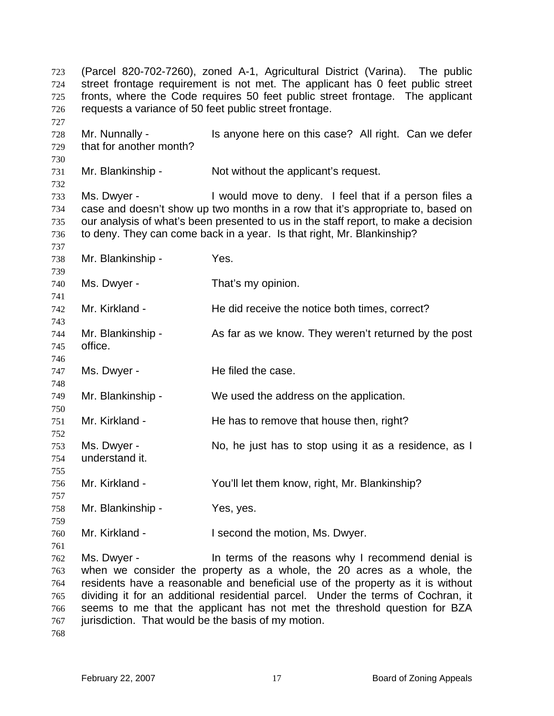(Parcel 820-702-7260), zoned A-1, Agricultural District (Varina). The public street frontage requirement is not met. The applicant has 0 feet public street fronts, where the Code requires 50 feet public street frontage. The applicant requests a variance of 50 feet public street frontage. 723 724 725 726 727 728 729 730 731 732 733 734 735 736 737 738 739 740 741 742 743 744 745 746 747 748 749 750 751 752 753 754 755 756 757 758 759 760 761 762 763 764 765 766 767 Mr. Nunnally - Is anyone here on this case? All right. Can we defer that for another month? Mr. Blankinship - Not without the applicant's request. Ms. Dwyer - Twould move to deny. I feel that if a person files a case and doesn't show up two months in a row that it's appropriate to, based on our analysis of what's been presented to us in the staff report, to make a decision to deny. They can come back in a year. Is that right, Mr. Blankinship? Mr. Blankinship - Yes. Ms. Dwyer - That's my opinion. Mr. Kirkland - He did receive the notice both times, correct? Mr. Blankinship - As far as we know. They weren't returned by the post office. Ms. Dwyer - The filed the case. Mr. Blankinship - We used the address on the application. Mr. Kirkland - He has to remove that house then, right? Ms. Dwyer - The No, he just has to stop using it as a residence, as I understand it. Mr. Kirkland - You'll let them know, right, Mr. Blankinship? Mr. Blankinship - Yes, yes. Mr. Kirkland - I second the motion, Ms. Dwyer. Ms. Dwyer - The terms of the reasons why I recommend denial is when we consider the property as a whole, the 20 acres as a whole, the residents have a reasonable and beneficial use of the property as it is without dividing it for an additional residential parcel. Under the terms of Cochran, it seems to me that the applicant has not met the threshold question for BZA jurisdiction. That would be the basis of my motion.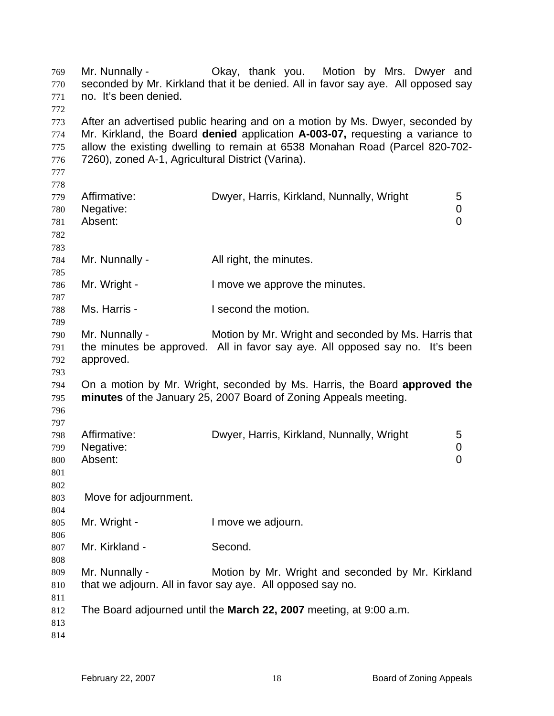| 769<br>770<br>771<br>772               | Mr. Nunnally -<br>no. It's been denied.                                                                                                                                                                                                                                                           | Okay, thank you. Motion by Mrs. Dwyer and<br>seconded by Mr. Kirkland that it be denied. All in favor say aye. All opposed say                |  |
|----------------------------------------|---------------------------------------------------------------------------------------------------------------------------------------------------------------------------------------------------------------------------------------------------------------------------------------------------|-----------------------------------------------------------------------------------------------------------------------------------------------|--|
| 773<br>774<br>775<br>776<br>777<br>778 | After an advertised public hearing and on a motion by Ms. Dwyer, seconded by<br>Mr. Kirkland, the Board denied application A-003-07, requesting a variance to<br>allow the existing dwelling to remain at 6538 Monahan Road (Parcel 820-702-<br>7260), zoned A-1, Agricultural District (Varina). |                                                                                                                                               |  |
| 779<br>780<br>781<br>782<br>783        | Affirmative:<br>Negative:<br>Absent:                                                                                                                                                                                                                                                              | Dwyer, Harris, Kirkland, Nunnally, Wright<br>5<br>$\boldsymbol{0}$<br>$\mathbf 0$                                                             |  |
| 784<br>785                             | Mr. Nunnally -                                                                                                                                                                                                                                                                                    | All right, the minutes.                                                                                                                       |  |
| 786<br>787                             | Mr. Wright -                                                                                                                                                                                                                                                                                      | I move we approve the minutes.                                                                                                                |  |
| 788<br>789                             | Ms. Harris -                                                                                                                                                                                                                                                                                      | I second the motion.                                                                                                                          |  |
| 790<br>791<br>792<br>793               | Mr. Nunnally -<br>approved.                                                                                                                                                                                                                                                                       | Motion by Mr. Wright and seconded by Ms. Harris that<br>the minutes be approved. All in favor say aye. All opposed say no. It's been          |  |
| 794<br>795<br>796                      |                                                                                                                                                                                                                                                                                                   | On a motion by Mr. Wright, seconded by Ms. Harris, the Board approved the<br>minutes of the January 25, 2007 Board of Zoning Appeals meeting. |  |
| 797<br>798<br>799<br>800<br>801<br>802 | Affirmative:<br>Negative:<br>Absent:                                                                                                                                                                                                                                                              | Dwyer, Harris, Kirkland, Nunnally, Wright<br>5<br>$\pmb{0}$<br>0                                                                              |  |
| 803<br>804                             | Move for adjournment.                                                                                                                                                                                                                                                                             |                                                                                                                                               |  |
| 805<br>806                             | Mr. Wright -                                                                                                                                                                                                                                                                                      | I move we adjourn.                                                                                                                            |  |
| 807<br>808                             | Mr. Kirkland -                                                                                                                                                                                                                                                                                    | Second.                                                                                                                                       |  |
| 809<br>810<br>811                      | Mr. Nunnally -                                                                                                                                                                                                                                                                                    | Motion by Mr. Wright and seconded by Mr. Kirkland<br>that we adjourn. All in favor say aye. All opposed say no.                               |  |
| 812<br>813<br>814                      |                                                                                                                                                                                                                                                                                                   | The Board adjourned until the March 22, 2007 meeting, at 9:00 a.m.                                                                            |  |